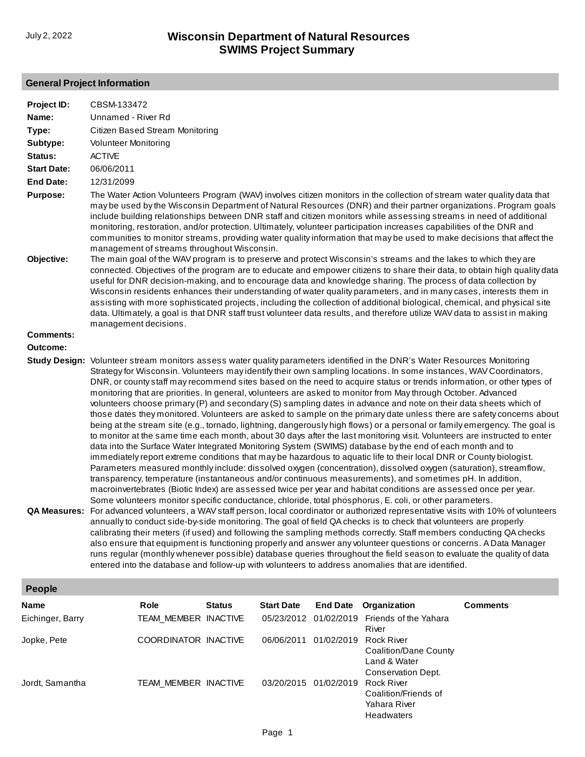## **General Project Information**

| Project ID:        | CBSM-133472                                                                                                                                                                                                                                                                                                                                                                                                                                                                                                                                                                                                                                                                                                                                                                                                                                                                                                                                                                                                                                                                                                                                                                                                                                                                                                                                                                                                                                                                                                                                                                                                                                                                                                                                                                                                                                                                                                                                                                                                                                                                                                                                                                                                                                                                                                                                                                                                                                      |               |                   |                       |                                                                                  |                 |  |  |  |
|--------------------|--------------------------------------------------------------------------------------------------------------------------------------------------------------------------------------------------------------------------------------------------------------------------------------------------------------------------------------------------------------------------------------------------------------------------------------------------------------------------------------------------------------------------------------------------------------------------------------------------------------------------------------------------------------------------------------------------------------------------------------------------------------------------------------------------------------------------------------------------------------------------------------------------------------------------------------------------------------------------------------------------------------------------------------------------------------------------------------------------------------------------------------------------------------------------------------------------------------------------------------------------------------------------------------------------------------------------------------------------------------------------------------------------------------------------------------------------------------------------------------------------------------------------------------------------------------------------------------------------------------------------------------------------------------------------------------------------------------------------------------------------------------------------------------------------------------------------------------------------------------------------------------------------------------------------------------------------------------------------------------------------------------------------------------------------------------------------------------------------------------------------------------------------------------------------------------------------------------------------------------------------------------------------------------------------------------------------------------------------------------------------------------------------------------------------------------------------|---------------|-------------------|-----------------------|----------------------------------------------------------------------------------|-----------------|--|--|--|
| Name:              | Unnamed - River Rd                                                                                                                                                                                                                                                                                                                                                                                                                                                                                                                                                                                                                                                                                                                                                                                                                                                                                                                                                                                                                                                                                                                                                                                                                                                                                                                                                                                                                                                                                                                                                                                                                                                                                                                                                                                                                                                                                                                                                                                                                                                                                                                                                                                                                                                                                                                                                                                                                               |               |                   |                       |                                                                                  |                 |  |  |  |
| Type:              | Citizen Based Stream Monitoring                                                                                                                                                                                                                                                                                                                                                                                                                                                                                                                                                                                                                                                                                                                                                                                                                                                                                                                                                                                                                                                                                                                                                                                                                                                                                                                                                                                                                                                                                                                                                                                                                                                                                                                                                                                                                                                                                                                                                                                                                                                                                                                                                                                                                                                                                                                                                                                                                  |               |                   |                       |                                                                                  |                 |  |  |  |
| Subtype:           | <b>Volunteer Monitoring</b>                                                                                                                                                                                                                                                                                                                                                                                                                                                                                                                                                                                                                                                                                                                                                                                                                                                                                                                                                                                                                                                                                                                                                                                                                                                                                                                                                                                                                                                                                                                                                                                                                                                                                                                                                                                                                                                                                                                                                                                                                                                                                                                                                                                                                                                                                                                                                                                                                      |               |                   |                       |                                                                                  |                 |  |  |  |
| Status:            | <b>ACTIVE</b>                                                                                                                                                                                                                                                                                                                                                                                                                                                                                                                                                                                                                                                                                                                                                                                                                                                                                                                                                                                                                                                                                                                                                                                                                                                                                                                                                                                                                                                                                                                                                                                                                                                                                                                                                                                                                                                                                                                                                                                                                                                                                                                                                                                                                                                                                                                                                                                                                                    |               |                   |                       |                                                                                  |                 |  |  |  |
| <b>Start Date:</b> | 06/06/2011                                                                                                                                                                                                                                                                                                                                                                                                                                                                                                                                                                                                                                                                                                                                                                                                                                                                                                                                                                                                                                                                                                                                                                                                                                                                                                                                                                                                                                                                                                                                                                                                                                                                                                                                                                                                                                                                                                                                                                                                                                                                                                                                                                                                                                                                                                                                                                                                                                       |               |                   |                       |                                                                                  |                 |  |  |  |
| <b>End Date:</b>   | 12/31/2099                                                                                                                                                                                                                                                                                                                                                                                                                                                                                                                                                                                                                                                                                                                                                                                                                                                                                                                                                                                                                                                                                                                                                                                                                                                                                                                                                                                                                                                                                                                                                                                                                                                                                                                                                                                                                                                                                                                                                                                                                                                                                                                                                                                                                                                                                                                                                                                                                                       |               |                   |                       |                                                                                  |                 |  |  |  |
| <b>Purpose:</b>    |                                                                                                                                                                                                                                                                                                                                                                                                                                                                                                                                                                                                                                                                                                                                                                                                                                                                                                                                                                                                                                                                                                                                                                                                                                                                                                                                                                                                                                                                                                                                                                                                                                                                                                                                                                                                                                                                                                                                                                                                                                                                                                                                                                                                                                                                                                                                                                                                                                                  |               |                   |                       |                                                                                  |                 |  |  |  |
| Objective:         | The Water Action Volunteers Program (WAV) involves citizen monitors in the collection of stream water quality data that<br>may be used by the Wisconsin Department of Natural Resources (DNR) and their partner organizations. Program goals<br>include building relationships between DNR staff and citizen monitors while assessing streams in need of additional<br>monitoring, restoration, and/or protection. Ultimately, volunteer participation increases capabilities of the DNR and<br>communities to monitor streams, providing water quality information that may be used to make decisions that affect the<br>management of streams throughout Wisconsin.<br>The main goal of the WAV program is to preserve and protect Wisconsin's streams and the lakes to which they are<br>connected. Objectives of the program are to educate and empower citizens to share their data, to obtain high quality data<br>useful for DNR decision-making, and to encourage data and knowledge sharing. The process of data collection by<br>Wisconsin residents enhances their understanding of water quality parameters, and in many cases, interests them in<br>assisting with more sophisticated projects, including the collection of additional biological, chemical, and physical site<br>data. Ultimately, a goal is that DNR staff trust volunteer data results, and therefore utilize WAV data to assist in making<br>management decisions.                                                                                                                                                                                                                                                                                                                                                                                                                                                                                                                                                                                                                                                                                                                                                                                                                                                                                                                                                                                              |               |                   |                       |                                                                                  |                 |  |  |  |
| <b>Comments:</b>   |                                                                                                                                                                                                                                                                                                                                                                                                                                                                                                                                                                                                                                                                                                                                                                                                                                                                                                                                                                                                                                                                                                                                                                                                                                                                                                                                                                                                                                                                                                                                                                                                                                                                                                                                                                                                                                                                                                                                                                                                                                                                                                                                                                                                                                                                                                                                                                                                                                                  |               |                   |                       |                                                                                  |                 |  |  |  |
| Outcome:           |                                                                                                                                                                                                                                                                                                                                                                                                                                                                                                                                                                                                                                                                                                                                                                                                                                                                                                                                                                                                                                                                                                                                                                                                                                                                                                                                                                                                                                                                                                                                                                                                                                                                                                                                                                                                                                                                                                                                                                                                                                                                                                                                                                                                                                                                                                                                                                                                                                                  |               |                   |                       |                                                                                  |                 |  |  |  |
|                    | Study Design: Volunteer stream monitors assess water quality parameters identified in the DNR's Water Resources Monitoring<br>Strategy for Wisconsin. Volunteers may identify their own sampling locations. In some instances, WAV Coordinators,<br>DNR, or county staff may recommend sites based on the need to acquire status or trends information, or other types of<br>monitoring that are priorities. In general, volunteers are asked to monitor from May through October. Advanced<br>volunteers choose primary (P) and secondary (S) sampling dates in advance and note on their data sheets which of<br>those dates they monitored. Volunteers are asked to sample on the primary date unless there are safety concerns about<br>being at the stream site (e.g., tornado, lightning, dangerously high flows) or a personal or family emergency. The goal is<br>to monitor at the same time each month, about 30 days after the last monitoring visit. Volunteers are instructed to enter<br>data into the Surface Water Integrated Monitoring System (SWIMS) database by the end of each month and to<br>immediately report extreme conditions that may be hazardous to aquatic life to their local DNR or County biologist.<br>Parameters measured monthly include: dissolved oxygen (concentration), dissolved oxygen (saturation), streamflow,<br>transparency, temperature (instantaneous and/or continuous measurements), and sometimes pH. In addition,<br>macroinvertebrates (Biotic Index) are assessed twice per year and habitat conditions are assessed once per year.<br>Some volunteers monitor specific conductance, chloride, total phosphorus, E. coli, or other parameters.<br>QA Measures: For advanced volunteers, a WAV staff person, local coordinator or authorized representative visits with 10% of volunteers<br>annually to conduct side-by-side monitoring. The goal of field QA checks is to check that volunteers are properly<br>calibrating their meters (if used) and following the sampling methods correctly. Staff members conducting QA checks<br>also ensure that equipment is functioning properly and answer any volunteer questions or concerns. A Data Manager<br>runs regular (monthly whenever possible) database queries throughout the field season to evaluate the quality of data<br>entered into the database and follow-up with volunteers to address anomalies that are identified. |               |                   |                       |                                                                                  |                 |  |  |  |
| People             |                                                                                                                                                                                                                                                                                                                                                                                                                                                                                                                                                                                                                                                                                                                                                                                                                                                                                                                                                                                                                                                                                                                                                                                                                                                                                                                                                                                                                                                                                                                                                                                                                                                                                                                                                                                                                                                                                                                                                                                                                                                                                                                                                                                                                                                                                                                                                                                                                                                  |               |                   |                       |                                                                                  |                 |  |  |  |
| Name               | Role                                                                                                                                                                                                                                                                                                                                                                                                                                                                                                                                                                                                                                                                                                                                                                                                                                                                                                                                                                                                                                                                                                                                                                                                                                                                                                                                                                                                                                                                                                                                                                                                                                                                                                                                                                                                                                                                                                                                                                                                                                                                                                                                                                                                                                                                                                                                                                                                                                             | <b>Status</b> | <b>Start Date</b> | <b>End Date</b>       | Organization                                                                     | <b>Comments</b> |  |  |  |
| Eichinger, Barry   | TEAM_MEMBER INACTIVE                                                                                                                                                                                                                                                                                                                                                                                                                                                                                                                                                                                                                                                                                                                                                                                                                                                                                                                                                                                                                                                                                                                                                                                                                                                                                                                                                                                                                                                                                                                                                                                                                                                                                                                                                                                                                                                                                                                                                                                                                                                                                                                                                                                                                                                                                                                                                                                                                             |               | 05/23/2012        | 01/02/2019            | Friends of the Yahara<br>River                                                   |                 |  |  |  |
| Jopke, Pete        | COORDINATOR INACTIVE                                                                                                                                                                                                                                                                                                                                                                                                                                                                                                                                                                                                                                                                                                                                                                                                                                                                                                                                                                                                                                                                                                                                                                                                                                                                                                                                                                                                                                                                                                                                                                                                                                                                                                                                                                                                                                                                                                                                                                                                                                                                                                                                                                                                                                                                                                                                                                                                                             |               |                   | 06/06/2011 01/02/2019 | <b>Rock River</b><br>Coalition/Dane County<br>Land & Water<br>Conservation Dept. |                 |  |  |  |
| Jordt, Samantha    | TEAM_MEMBER INACTIVE                                                                                                                                                                                                                                                                                                                                                                                                                                                                                                                                                                                                                                                                                                                                                                                                                                                                                                                                                                                                                                                                                                                                                                                                                                                                                                                                                                                                                                                                                                                                                                                                                                                                                                                                                                                                                                                                                                                                                                                                                                                                                                                                                                                                                                                                                                                                                                                                                             |               |                   | 03/20/2015 01/02/2019 | <b>Rock River</b><br>Coalition/Friends of<br>Yahara River                        |                 |  |  |  |

Headwaters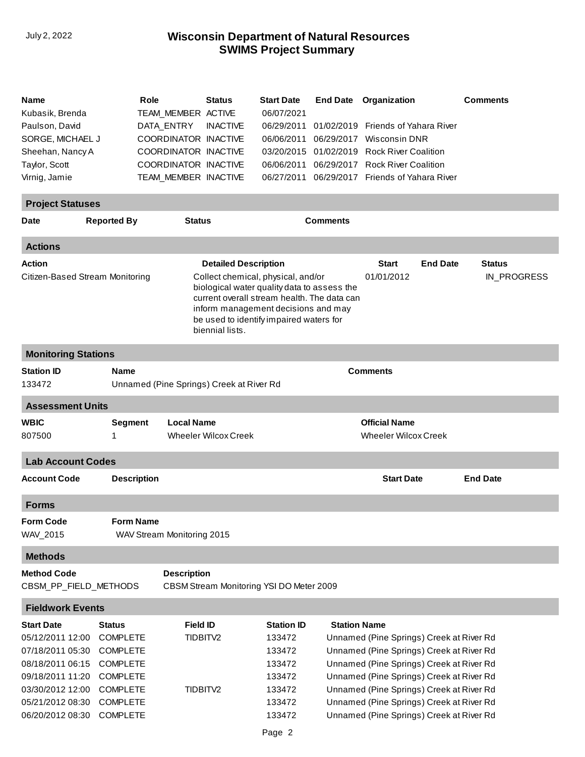## **SWIMS Project Summary** July 2, 2022 **Wisconsin Department of Natural Resources**

| Name<br>Kubasik, Brenda<br>Paulson, David<br>SORGE, MICHAEL J<br>Sheehan, Nancy A<br>Taylor, Scott<br>Virnig, Jamie<br><b>Project Statuses</b>                | Role                                                                                                                                        | TEAM_MEMBER ACTIVE<br>DATA_ENTRY | <b>Status</b><br><b>INACTIVE</b><br>COORDINATOR INACTIVE<br>COORDINATOR INACTIVE<br>COORDINATOR INACTIVE<br>TEAM_MEMBER INACTIVE                                                                                                                                     | <b>Start Date</b><br>06/07/2021<br>06/29/2011<br>06/06/2011<br>06/06/2011<br>06/27/2011 | 01/02/2019<br>06/29/2017 | <b>End Date Organization</b><br>Friends of Yahara River<br><b>Wisconsin DNR</b><br>03/20/2015 01/02/2019 Rock River Coalition<br>06/29/2017 Rock River Coalition<br>06/29/2017 Friends of Yahara River                                                                                                           | <b>Comments</b>              |  |
|---------------------------------------------------------------------------------------------------------------------------------------------------------------|---------------------------------------------------------------------------------------------------------------------------------------------|----------------------------------|----------------------------------------------------------------------------------------------------------------------------------------------------------------------------------------------------------------------------------------------------------------------|-----------------------------------------------------------------------------------------|--------------------------|------------------------------------------------------------------------------------------------------------------------------------------------------------------------------------------------------------------------------------------------------------------------------------------------------------------|------------------------------|--|
| <b>Date</b>                                                                                                                                                   | <b>Reported By</b>                                                                                                                          | <b>Status</b>                    |                                                                                                                                                                                                                                                                      |                                                                                         | <b>Comments</b>          |                                                                                                                                                                                                                                                                                                                  |                              |  |
| <b>Actions</b>                                                                                                                                                |                                                                                                                                             |                                  |                                                                                                                                                                                                                                                                      |                                                                                         |                          |                                                                                                                                                                                                                                                                                                                  |                              |  |
| Action<br>Citizen-Based Stream Monitoring                                                                                                                     |                                                                                                                                             |                                  | <b>Detailed Description</b><br>Collect chemical, physical, and/or<br>biological water quality data to assess the<br>current overall stream health. The data can<br>inform management decisions and may<br>be used to identify impaired waters for<br>biennial lists. |                                                                                         |                          | <b>Start</b><br><b>End Date</b><br>01/01/2012                                                                                                                                                                                                                                                                    | <b>Status</b><br>IN_PROGRESS |  |
| <b>Monitoring Stations</b>                                                                                                                                    |                                                                                                                                             |                                  |                                                                                                                                                                                                                                                                      |                                                                                         |                          |                                                                                                                                                                                                                                                                                                                  |                              |  |
| <b>Station ID</b><br><b>Name</b><br><b>Comments</b><br>133472<br>Unnamed (Pine Springs) Creek at River Rd                                                     |                                                                                                                                             |                                  |                                                                                                                                                                                                                                                                      |                                                                                         |                          |                                                                                                                                                                                                                                                                                                                  |                              |  |
| <b>Assessment Units</b>                                                                                                                                       |                                                                                                                                             |                                  |                                                                                                                                                                                                                                                                      |                                                                                         |                          |                                                                                                                                                                                                                                                                                                                  |                              |  |
| <b>WBIC</b><br>807500                                                                                                                                         | <b>Segment</b><br>1                                                                                                                         | <b>Local Name</b>                | <b>Wheeler Wilcox Creek</b>                                                                                                                                                                                                                                          |                                                                                         |                          | <b>Official Name</b><br><b>Wheeler Wilcox Creek</b>                                                                                                                                                                                                                                                              |                              |  |
| <b>Lab Account Codes</b>                                                                                                                                      |                                                                                                                                             |                                  |                                                                                                                                                                                                                                                                      |                                                                                         |                          |                                                                                                                                                                                                                                                                                                                  |                              |  |
| <b>Account Code</b>                                                                                                                                           | <b>Description</b>                                                                                                                          |                                  |                                                                                                                                                                                                                                                                      |                                                                                         |                          | <b>Start Date</b>                                                                                                                                                                                                                                                                                                | <b>End Date</b>              |  |
| <b>Forms</b>                                                                                                                                                  |                                                                                                                                             |                                  |                                                                                                                                                                                                                                                                      |                                                                                         |                          |                                                                                                                                                                                                                                                                                                                  |                              |  |
| <b>Form Code</b><br>WAV_2015                                                                                                                                  | <b>Form Name</b><br>WAV Stream Monitoring 2015                                                                                              |                                  |                                                                                                                                                                                                                                                                      |                                                                                         |                          |                                                                                                                                                                                                                                                                                                                  |                              |  |
| <b>Methods</b>                                                                                                                                                |                                                                                                                                             |                                  |                                                                                                                                                                                                                                                                      |                                                                                         |                          |                                                                                                                                                                                                                                                                                                                  |                              |  |
| <b>Method Code</b><br>CBSM_PP_FIELD_METHODS                                                                                                                   |                                                                                                                                             | <b>Description</b>               | CBSM Stream Monitoring YSI DO Meter 2009                                                                                                                                                                                                                             |                                                                                         |                          |                                                                                                                                                                                                                                                                                                                  |                              |  |
| <b>Fieldwork Events</b>                                                                                                                                       |                                                                                                                                             |                                  |                                                                                                                                                                                                                                                                      |                                                                                         |                          |                                                                                                                                                                                                                                                                                                                  |                              |  |
| <b>Start Date</b><br>05/12/2011 12:00<br>07/18/2011 05:30<br>08/18/2011 06:15<br>09/18/2011 11:20<br>03/30/2012 12:00<br>05/21/2012 08:30<br>06/20/2012 08:30 | Status<br><b>COMPLETE</b><br><b>COMPLETE</b><br><b>COMPLETE</b><br><b>COMPLETE</b><br><b>COMPLETE</b><br><b>COMPLETE</b><br><b>COMPLETE</b> | <b>Field ID</b>                  | TIDBITV2<br>TIDBITV2                                                                                                                                                                                                                                                 | <b>Station ID</b><br>133472<br>133472<br>133472<br>133472<br>133472<br>133472<br>133472 | <b>Station Name</b>      | Unnamed (Pine Springs) Creek at River Rd<br>Unnamed (Pine Springs) Creek at River Rd<br>Unnamed (Pine Springs) Creek at River Rd<br>Unnamed (Pine Springs) Creek at River Rd<br>Unnamed (Pine Springs) Creek at River Rd<br>Unnamed (Pine Springs) Creek at River Rd<br>Unnamed (Pine Springs) Creek at River Rd |                              |  |